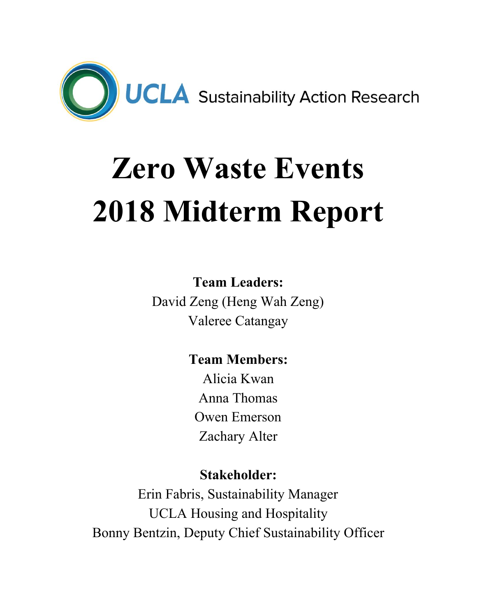

# **Zero Waste Events 2018 Midterm Report**

## **Team Leaders:**

David Zeng (Heng Wah Zeng) Valeree Catangay

# **Team Members:**

Alicia Kwan Anna Thomas Owen Emerson Zachary Alter

### **Stakeholder:**

Erin Fabris, Sustainability Manager UCLA Housing and Hospitality Bonny Bentzin, Deputy Chief Sustainability Officer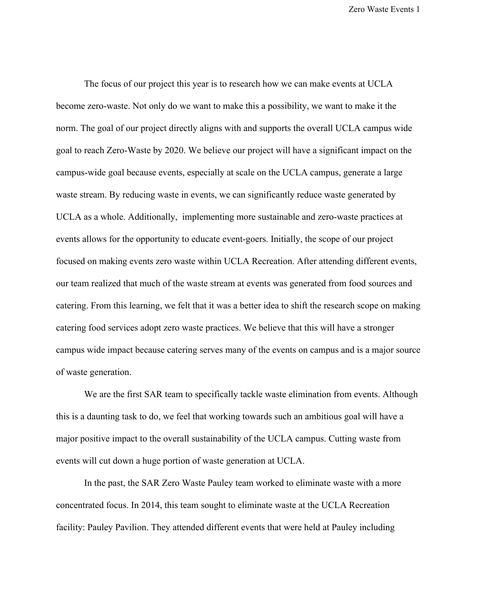The focus of our project this year is to research how we can make events at UCLA become zero-waste. Not only do we want to make this a possibility, we want to make it the norm. The goal of our project directly aligns with and supports the overall UCLA campus wide goal to reach Zero-Waste by 2020. We believe our project will have a significant impact on the campus-wide goal because events, especially at scale on the UCLA campus, generate a large waste stream. By reducing waste in events, we can significantly reduce waste generated by UCLA as a whole. Additionally, implementing more sustainable and zero-waste practices at events allows for the opportunity to educate event-goers. Initially, the scope of our project focused on making events zero waste within UCLA Recreation. After attending different events, our team realized that much of the waste stream at events was generated from food sources and catering. From this learning, we felt that it was a better idea to shift the research scope on making catering food services adopt zero waste practices. We believe that this will have a stronger campus wide impact because catering serves many of the events on campus and is a major source of waste generation.

We are the first SAR team to specifically tackle waste elimination from events. Although this is a daunting task to do, we feel that working towards such an ambitious goal will have a major positive impact to the overall sustainability of the UCLA campus. Cutting waste from events will cut down a huge portion of waste generation at UCLA.

In the past, the SAR Zero Waste Pauley team worked to eliminate waste with a more concentrated focus. In 2014, this team sought to eliminate waste at the UCLA Recreation facility: Pauley Pavilion. They attended different events that were held at Pauley including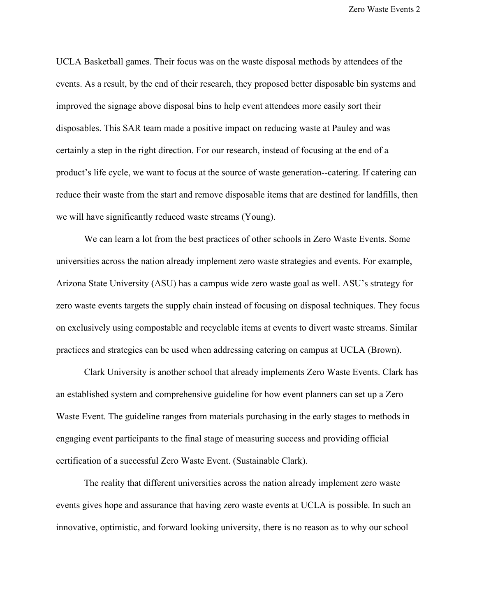UCLA Basketball games. Their focus was on the waste disposal methods by attendees of the events. As a result, by the end of their research, they proposed better disposable bin systems and improved the signage above disposal bins to help event attendees more easily sort their disposables. This SAR team made a positive impact on reducing waste at Pauley and was certainly a step in the right direction. For our research, instead of focusing at the end of a product's life cycle, we want to focus at the source of waste generation--catering. If catering can reduce their waste from the start and remove disposable items that are destined for landfills, then we will have significantly reduced waste streams (Young).

We can learn a lot from the best practices of other schools in Zero Waste Events. Some universities across the nation already implement zero waste strategies and events. For example, Arizona State University (ASU) has a campus wide zero waste goal as well. ASU's strategy for zero waste events targets the supply chain instead of focusing on disposal techniques. They focus on exclusively using compostable and recyclable items at events to divert waste streams. Similar practices and strategies can be used when addressing catering on campus at UCLA (Brown).

Clark University is another school that already implements Zero Waste Events. Clark has an established system and comprehensive guideline for how event planners can set up a Zero Waste Event. The guideline ranges from materials purchasing in the early stages to methods in engaging event participants to the final stage of measuring success and providing official certification of a successful Zero Waste Event. (Sustainable Clark).

The reality that different universities across the nation already implement zero waste events gives hope and assurance that having zero waste events at UCLA is possible. In such an innovative, optimistic, and forward looking university, there is no reason as to why our school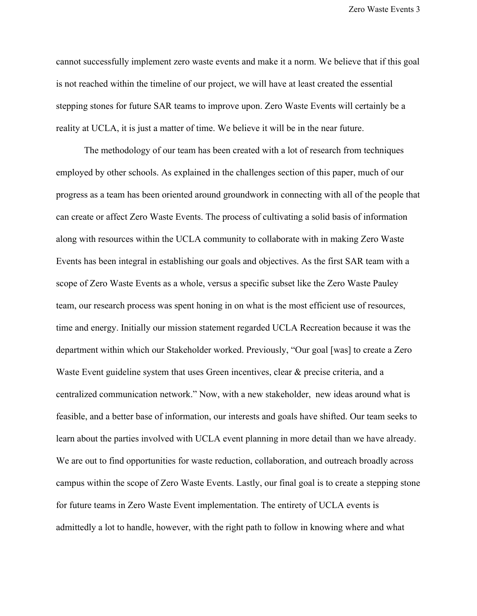cannot successfully implement zero waste events and make it a norm. We believe that if this goal is not reached within the timeline of our project, we will have at least created the essential stepping stones for future SAR teams to improve upon. Zero Waste Events will certainly be a reality at UCLA, it is just a matter of time. We believe it will be in the near future.

The methodology of our team has been created with a lot of research from techniques employed by other schools. As explained in the challenges section of this paper, much of our progress as a team has been oriented around groundwork in connecting with all of the people that can create or affect Zero Waste Events. The process of cultivating a solid basis of information along with resources within the UCLA community to collaborate with in making Zero Waste Events has been integral in establishing our goals and objectives. As the first SAR team with a scope of Zero Waste Events as a whole, versus a specific subset like the Zero Waste Pauley team, our research process was spent honing in on what is the most efficient use of resources, time and energy. Initially our mission statement regarded UCLA Recreation because it was the department within which our Stakeholder worked. Previously, "Our goal [was] to create a Zero Waste Event guideline system that uses Green incentives, clear & precise criteria, and a centralized communication network." Now, with a new stakeholder, new ideas around what is feasible, and a better base of information, our interests and goals have shifted. Our team seeks to learn about the parties involved with UCLA event planning in more detail than we have already. We are out to find opportunities for waste reduction, collaboration, and outreach broadly across campus within the scope of Zero Waste Events. Lastly, our final goal is to create a stepping stone for future teams in Zero Waste Event implementation. The entirety of UCLA events is admittedly a lot to handle, however, with the right path to follow in knowing where and what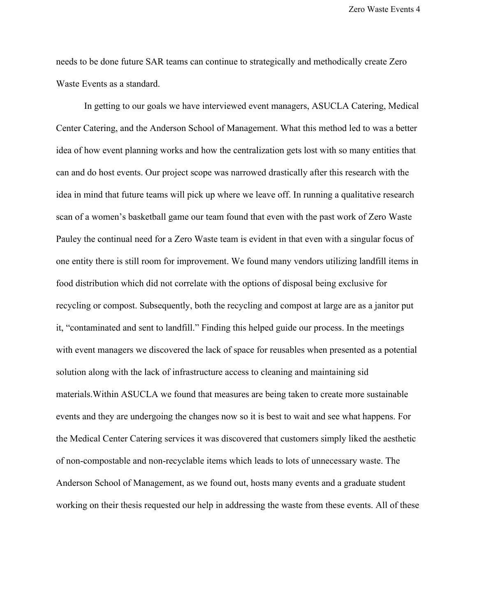needs to be done future SAR teams can continue to strategically and methodically create Zero Waste Events as a standard.

In getting to our goals we have interviewed event managers, ASUCLA Catering, Medical Center Catering, and the Anderson School of Management. What this method led to was a better idea of how event planning works and how the centralization gets lost with so many entities that can and do host events. Our project scope was narrowed drastically after this research with the idea in mind that future teams will pick up where we leave off. In running a qualitative research scan of a women's basketball game our team found that even with the past work of Zero Waste Pauley the continual need for a Zero Waste team is evident in that even with a singular focus of one entity there is still room for improvement. We found many vendors utilizing landfill items in food distribution which did not correlate with the options of disposal being exclusive for recycling or compost. Subsequently, both the recycling and compost at large are as a janitor put it, "contaminated and sent to landfill." Finding this helped guide our process. In the meetings with event managers we discovered the lack of space for reusables when presented as a potential solution along with the lack of infrastructure access to cleaning and maintaining sid materials.Within ASUCLA we found that measures are being taken to create more sustainable events and they are undergoing the changes now so it is best to wait and see what happens. For the Medical Center Catering services it was discovered that customers simply liked the aesthetic of non-compostable and non-recyclable items which leads to lots of unnecessary waste. The Anderson School of Management, as we found out, hosts many events and a graduate student working on their thesis requested our help in addressing the waste from these events. All of these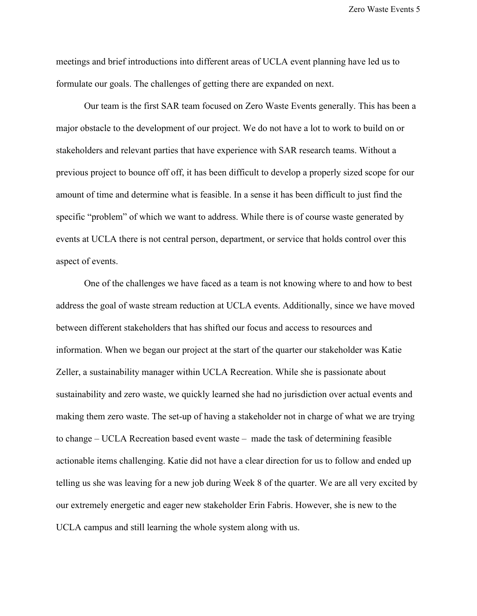meetings and brief introductions into different areas of UCLA event planning have led us to formulate our goals. The challenges of getting there are expanded on next.

Our team is the first SAR team focused on Zero Waste Events generally. This has been a major obstacle to the development of our project. We do not have a lot to work to build on or stakeholders and relevant parties that have experience with SAR research teams. Without a previous project to bounce off off, it has been difficult to develop a properly sized scope for our amount of time and determine what is feasible. In a sense it has been difficult to just find the specific "problem" of which we want to address. While there is of course waste generated by events at UCLA there is not central person, department, or service that holds control over this aspect of events.

One of the challenges we have faced as a team is not knowing where to and how to best address the goal of waste stream reduction at UCLA events. Additionally, since we have moved between different stakeholders that has shifted our focus and access to resources and information. When we began our project at the start of the quarter our stakeholder was Katie Zeller, a sustainability manager within UCLA Recreation. While she is passionate about sustainability and zero waste, we quickly learned she had no jurisdiction over actual events and making them zero waste. The set-up of having a stakeholder not in charge of what we are trying to change – UCLA Recreation based event waste – made the task of determining feasible actionable items challenging. Katie did not have a clear direction for us to follow and ended up telling us she was leaving for a new job during Week 8 of the quarter. We are all very excited by our extremely energetic and eager new stakeholder Erin Fabris. However, she is new to the UCLA campus and still learning the whole system along with us.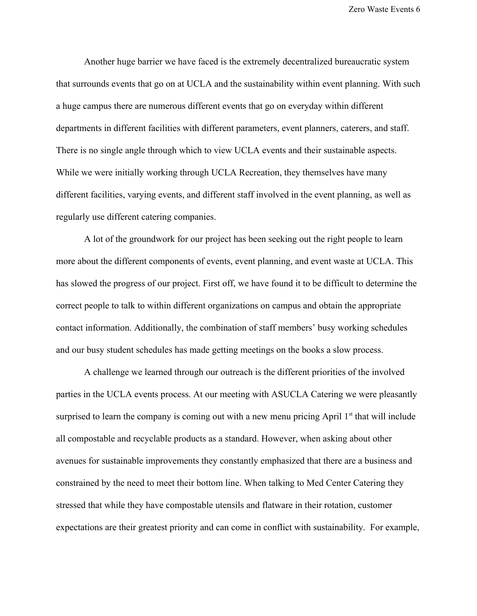Another huge barrier we have faced is the extremely decentralized bureaucratic system that surrounds events that go on at UCLA and the sustainability within event planning. With such a huge campus there are numerous different events that go on everyday within different departments in different facilities with different parameters, event planners, caterers, and staff. There is no single angle through which to view UCLA events and their sustainable aspects. While we were initially working through UCLA Recreation, they themselves have many different facilities, varying events, and different staff involved in the event planning, as well as regularly use different catering companies.

A lot of the groundwork for our project has been seeking out the right people to learn more about the different components of events, event planning, and event waste at UCLA. This has slowed the progress of our project. First off, we have found it to be difficult to determine the correct people to talk to within different organizations on campus and obtain the appropriate contact information. Additionally, the combination of staff members' busy working schedules and our busy student schedules has made getting meetings on the books a slow process.

A challenge we learned through our outreach is the different priorities of the involved parties in the UCLA events process. At our meeting with ASUCLA Catering we were pleasantly surprised to learn the company is coming out with a new menu pricing April  $1<sup>st</sup>$  that will include all compostable and recyclable products as a standard. However, when asking about other avenues for sustainable improvements they constantly emphasized that there are a business and constrained by the need to meet their bottom line. When talking to Med Center Catering they stressed that while they have compostable utensils and flatware in their rotation, customer expectations are their greatest priority and can come in conflict with sustainability. For example,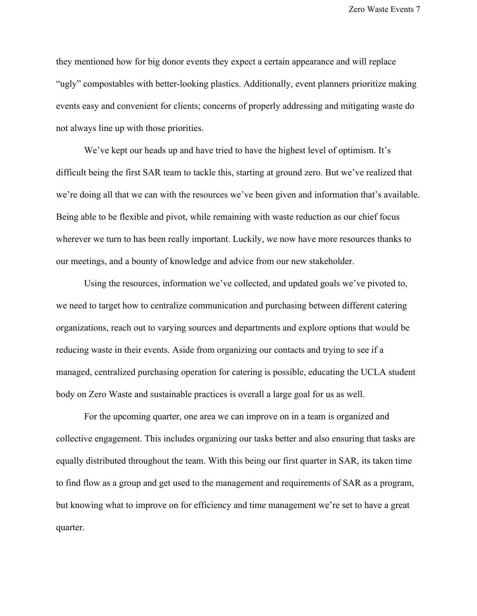they mentioned how for big donor events they expect a certain appearance and will replace "ugly" compostables with better-looking plastics. Additionally, event planners prioritize making events easy and convenient for clients; concerns of properly addressing and mitigating waste do not always line up with those priorities.

We've kept our heads up and have tried to have the highest level of optimism. It's difficult being the first SAR team to tackle this, starting at ground zero. But we've realized that we're doing all that we can with the resources we've been given and information that's available. Being able to be flexible and pivot, while remaining with waste reduction as our chief focus wherever we turn to has been really important. Luckily, we now have more resources thanks to our meetings, and a bounty of knowledge and advice from our new stakeholder.

Using the resources, information we've collected, and updated goals we've pivoted to, we need to target how to centralize communication and purchasing between different catering organizations, reach out to varying sources and departments and explore options that would be reducing waste in their events. Aside from organizing our contacts and trying to see if a managed, centralized purchasing operation for catering is possible, educating the UCLA student body on Zero Waste and sustainable practices is overall a large goal for us as well.

For the upcoming quarter, one area we can improve on in a team is organized and collective engagement. This includes organizing our tasks better and also ensuring that tasks are equally distributed throughout the team. With this being our first quarter in SAR, its taken time to find flow as a group and get used to the management and requirements of SAR as a program, but knowing what to improve on for efficiency and time management we're set to have a great quarter.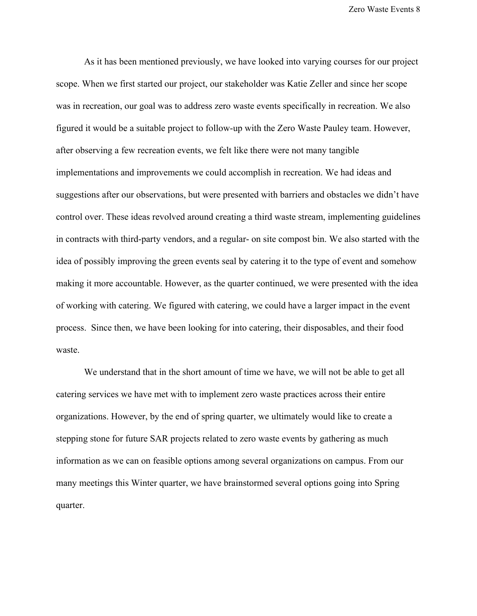As it has been mentioned previously, we have looked into varying courses for our project scope. When we first started our project, our stakeholder was Katie Zeller and since her scope was in recreation, our goal was to address zero waste events specifically in recreation. We also figured it would be a suitable project to follow-up with the Zero Waste Pauley team. However, after observing a few recreation events, we felt like there were not many tangible implementations and improvements we could accomplish in recreation. We had ideas and suggestions after our observations, but were presented with barriers and obstacles we didn't have control over. These ideas revolved around creating a third waste stream, implementing guidelines in contracts with third-party vendors, and a regular- on site compost bin. We also started with the idea of possibly improving the green events seal by catering it to the type of event and somehow making it more accountable. However, as the quarter continued, we were presented with the idea of working with catering. We figured with catering, we could have a larger impact in the event process. Since then, we have been looking for into catering, their disposables, and their food waste.

We understand that in the short amount of time we have, we will not be able to get all catering services we have met with to implement zero waste practices across their entire organizations. However, by the end of spring quarter, we ultimately would like to create a stepping stone for future SAR projects related to zero waste events by gathering as much information as we can on feasible options among several organizations on campus. From our many meetings this Winter quarter, we have brainstormed several options going into Spring quarter.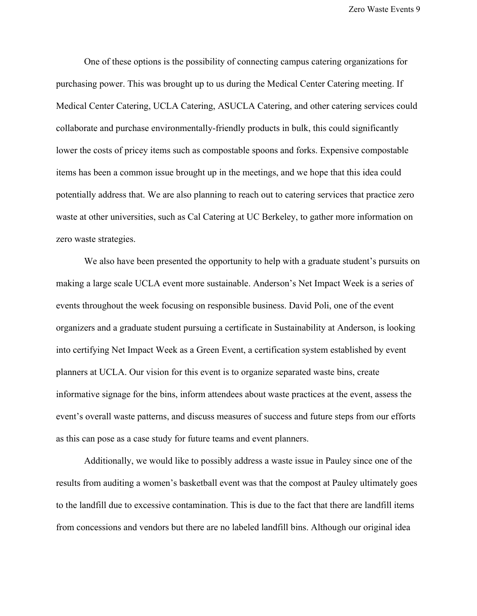One of these options is the possibility of connecting campus catering organizations for purchasing power. This was brought up to us during the Medical Center Catering meeting. If Medical Center Catering, UCLA Catering, ASUCLA Catering, and other catering services could collaborate and purchase environmentally-friendly products in bulk, this could significantly lower the costs of pricey items such as compostable spoons and forks. Expensive compostable items has been a common issue brought up in the meetings, and we hope that this idea could potentially address that. We are also planning to reach out to catering services that practice zero waste at other universities, such as Cal Catering at UC Berkeley, to gather more information on zero waste strategies.

We also have been presented the opportunity to help with a graduate student's pursuits on making a large scale UCLA event more sustainable. Anderson's Net Impact Week is a series of events throughout the week focusing on responsible business. David Poli, one of the event organizers and a graduate student pursuing a certificate in Sustainability at Anderson, is looking into certifying Net Impact Week as a Green Event, a certification system established by event planners at UCLA. Our vision for this event is to organize separated waste bins, create informative signage for the bins, inform attendees about waste practices at the event, assess the event's overall waste patterns, and discuss measures of success and future steps from our efforts as this can pose as a case study for future teams and event planners.

Additionally, we would like to possibly address a waste issue in Pauley since one of the results from auditing a women's basketball event was that the compost at Pauley ultimately goes to the landfill due to excessive contamination. This is due to the fact that there are landfill items from concessions and vendors but there are no labeled landfill bins. Although our original idea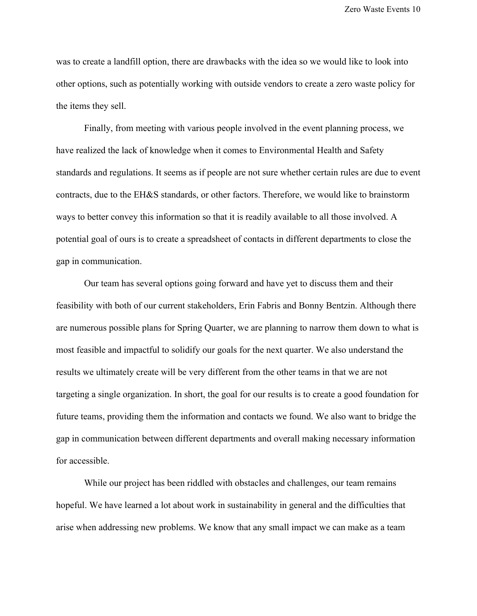was to create a landfill option, there are drawbacks with the idea so we would like to look into other options, such as potentially working with outside vendors to create a zero waste policy for the items they sell.

Finally, from meeting with various people involved in the event planning process, we have realized the lack of knowledge when it comes to Environmental Health and Safety standards and regulations. It seems as if people are not sure whether certain rules are due to event contracts, due to the EH&S standards, or other factors. Therefore, we would like to brainstorm ways to better convey this information so that it is readily available to all those involved. A potential goal of ours is to create a spreadsheet of contacts in different departments to close the gap in communication.

Our team has several options going forward and have yet to discuss them and their feasibility with both of our current stakeholders, Erin Fabris and Bonny Bentzin. Although there are numerous possible plans for Spring Quarter, we are planning to narrow them down to what is most feasible and impactful to solidify our goals for the next quarter. We also understand the results we ultimately create will be very different from the other teams in that we are not targeting a single organization. In short, the goal for our results is to create a good foundation for future teams, providing them the information and contacts we found. We also want to bridge the gap in communication between different departments and overall making necessary information for accessible.

While our project has been riddled with obstacles and challenges, our team remains hopeful. We have learned a lot about work in sustainability in general and the difficulties that arise when addressing new problems. We know that any small impact we can make as a team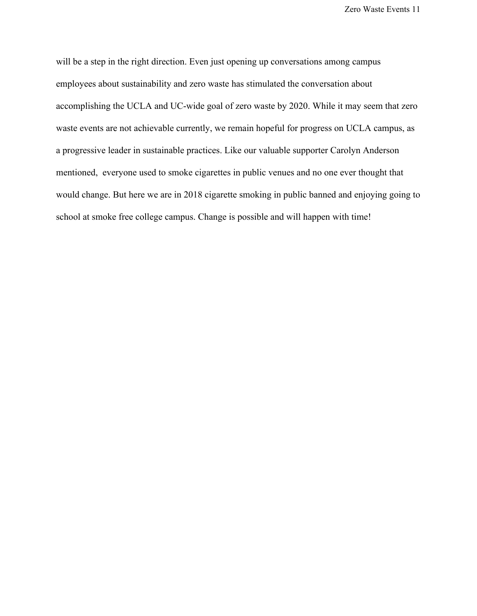will be a step in the right direction. Even just opening up conversations among campus employees about sustainability and zero waste has stimulated the conversation about accomplishing the UCLA and UC-wide goal of zero waste by 2020. While it may seem that zero waste events are not achievable currently, we remain hopeful for progress on UCLA campus, as a progressive leader in sustainable practices. Like our valuable supporter Carolyn Anderson mentioned, everyone used to smoke cigarettes in public venues and no one ever thought that would change. But here we are in 2018 cigarette smoking in public banned and enjoying going to school at smoke free college campus. Change is possible and will happen with time!